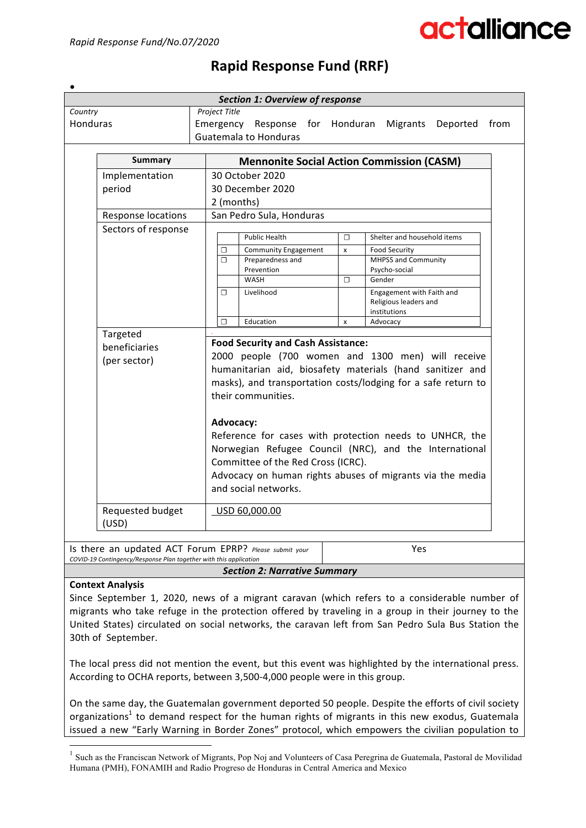# actalliance

#### ● *Section 1: Overview of response Country* Honduras *Project Title* Emergency Response for Honduran Migrants Deported from Guatemala to Honduras **Summary** *Mennonite Social Action Commission (CASM)* Implementation period 30 October 2020 30 December 2020 2 (months) Response locations  $\vert$  San Pedro Sula, Honduras Sectors of response Public Health **□** Shelter and household items □ Community Engagement x Food Security **☐** Preparedness and Prevention MHPSS and Community Psycho-social WASH **☐** Gender □ Livelihood Livelihood **Engagement** with Faith and Religious leaders and institutions **☐** Education x Advocacy *.* Targeted beneficiaries (per sector) **Food Security and Cash Assistance:** 2000 people (700 women and 1300 men) will receive humanitarian aid, biosafety materials (hand sanitizer and masks), and transportation costs/lodging for a safe return to their communities. **Advocacy:**  Reference for cases with protection needs to UNHCR, the Norwegian Refugee Council (NRC), and the International Committee of the Red Cross (ICRC). Advocacy on human rights abuses of migrants via the media and social networks. Requested budget (USD) USD 60,000.00

## **Rapid Response Fund (RRF)**

Is there an updated ACT Forum EPRP? *Please submit your* COVID-19 Contingency/Response Plan together with this application Yes

#### *Section 2: Narrative Summary*

### **Context Analysis**

Since September 1, 2020, news of a migrant caravan (which refers to a considerable number of migrants who take refuge in the protection offered by traveling in a group in their journey to the United States) circulated on social networks, the caravan left from San Pedro Sula Bus Station the 30th of September.

The local press did not mention the event, but this event was highlighted by the international press. According to OCHA reports, between 3,500-4,000 people were in this group.

On the same day, the Guatemalan government deported 50 people. Despite the efforts of civil society organizations<sup>1</sup> to demand respect for the human rights of migrants in this new exodus, Guatemala issued a new "Early Warning in Border Zones" protocol, which empowers the civilian population to

 $1$  Such as the Franciscan Network of Migrants, Pop Noj and Volunteers of Casa Peregrina de Guatemala, Pastoral de Movilidad Humana (PMH), FONAMIH and Radio Progreso de Honduras in Central America and Mexico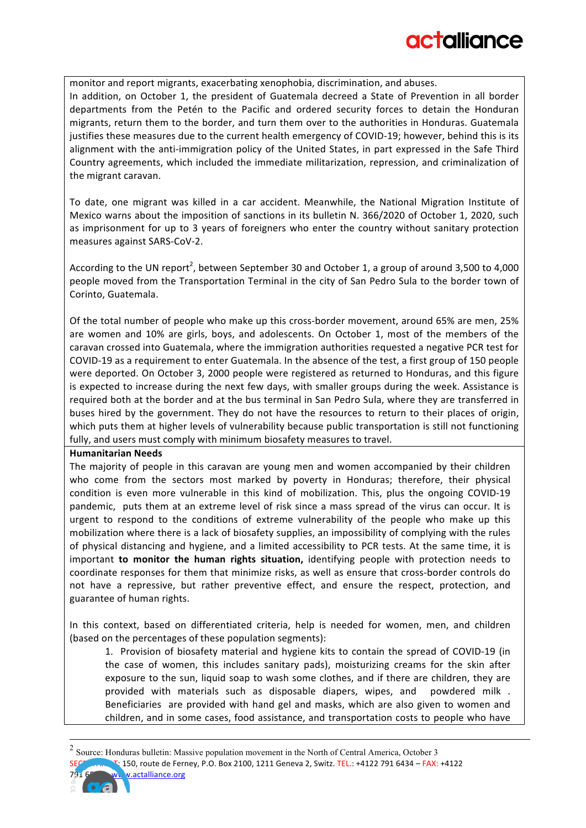monitor and report migrants, exacerbating xenophobia, discrimination, and abuses. In addition, on October 1, the president of Guatemala decreed a State of Prevention in all border departments from the Petén to the Pacific and ordered security forces to detain the Honduran migrants, return them to the border, and turn them over to the authorities in Honduras. Guatemala justifies these measures due to the current health emergency of COVID-19; however, behind this is its alignment with the anti-immigration policy of the United States, in part expressed in the Safe Third Country agreements, which included the immediate militarization, repression, and criminalization of the migrant caravan.

To date, one migrant was killed in a car accident. Meanwhile, the National Migration Institute of Mexico warns about the imposition of sanctions in its bulletin N. 366/2020 of October 1, 2020, such as imprisonment for up to 3 years of foreigners who enter the country without sanitary protection measures against SARS-CoV-2.

According to the UN report<sup>2</sup>, between September 30 and October 1, a group of around 3,500 to 4,000 people moved from the Transportation Terminal in the city of San Pedro Sula to the border town of Corinto, Guatemala.

Of the total number of people who make up this cross-border movement, around 65% are men, 25% are women and 10% are girls, boys, and adolescents. On October 1, most of the members of the caravan crossed into Guatemala, where the immigration authorities requested a negative PCR test for COVID-19 as a requirement to enter Guatemala. In the absence of the test, a first group of 150 people were deported. On October 3, 2000 people were registered as returned to Honduras, and this figure is expected to increase during the next few days, with smaller groups during the week. Assistance is required both at the border and at the bus terminal in San Pedro Sula, where they are transferred in buses hired by the government. They do not have the resources to return to their places of origin, which puts them at higher levels of vulnerability because public transportation is still not functioning fully, and users must comply with minimum biosafety measures to travel.

#### **Humanitarian Needs**

The majority of people in this caravan are young men and women accompanied by their children who come from the sectors most marked by poverty in Honduras; therefore, their physical condition is even more vulnerable in this kind of mobilization. This, plus the ongoing COVID-19 pandemic, puts them at an extreme level of risk since a mass spread of the virus can occur. It is urgent to respond to the conditions of extreme vulnerability of the people who make up this mobilization where there is a lack of biosafety supplies, an impossibility of complying with the rules of physical distancing and hygiene, and a limited accessibility to PCR tests. At the same time, it is important **to monitor the human rights situation**, identifying people with protection needs to coordinate responses for them that minimize risks, as well as ensure that cross-border controls do not have a repressive, but rather preventive effect, and ensure the respect, protection, and guarantee of human rights.

In this context, based on differentiated criteria, help is needed for women, men, and children (based on the percentages of these population segments):

1. Provision of biosafety material and hygiene kits to contain the spread of COVID-19 (in the case of women, this includes sanitary pads), moisturizing creams for the skin after exposure to the sun, liquid soap to wash some clothes, and if there are children, they are provided with materials such as disposable diapers, wipes, and powdered milk . Beneficiaries are provided with hand gel and masks, which are also given to women and children, and in some cases, food assistance, and transportation costs to people who have

<sup>150,</sup> route de Ferney, P.O. Box 2100, 1211 Geneva 2, Switz. TEL.: +4122 791 6434 - FAX: +4122 v.actalliance.org 2 Source: Honduras bulletin: Massive population movement in the North of Central America, October 3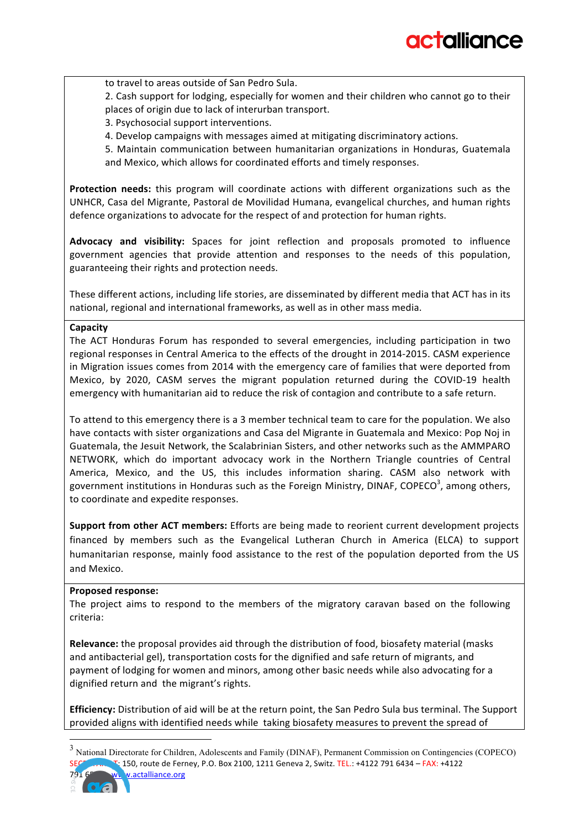to travel to areas outside of San Pedro Sula.

2. Cash support for lodging, especially for women and their children who cannot go to their places of origin due to lack of interurban transport.

3. Psychosocial support interventions.

4. Develop campaigns with messages aimed at mitigating discriminatory actions.

5. Maintain communication between humanitarian organizations in Honduras, Guatemala and Mexico, which allows for coordinated efforts and timely responses.

**Protection needs:** this program will coordinate actions with different organizations such as the UNHCR, Casa del Migrante, Pastoral de Movilidad Humana, evangelical churches, and human rights defence organizations to advocate for the respect of and protection for human rights.

Advocacy and visibility: Spaces for joint reflection and proposals promoted to influence government agencies that provide attention and responses to the needs of this population, guaranteeing their rights and protection needs.

These different actions, including life stories, are disseminated by different media that ACT has in its national, regional and international frameworks, as well as in other mass media.

#### **Capacity**

The ACT Honduras Forum has responded to several emergencies, including participation in two regional responses in Central America to the effects of the drought in 2014-2015. CASM experience in Migration issues comes from 2014 with the emergency care of families that were deported from Mexico, by 2020, CASM serves the migrant population returned during the COVID-19 health emergency with humanitarian aid to reduce the risk of contagion and contribute to a safe return.

To attend to this emergency there is a 3 member technical team to care for the population. We also have contacts with sister organizations and Casa del Migrante in Guatemala and Mexico: Pop Noj in Guatemala, the Jesuit Network, the Scalabrinian Sisters, and other networks such as the AMMPARO NETWORK, which do important advocacy work in the Northern Triangle countries of Central America, Mexico, and the US, this includes information sharing. CASM also network with government institutions in Honduras such as the Foreign Ministry, DINAF, COPECO<sup>3</sup>, among others, to coordinate and expedite responses.

**Support from other ACT members:** Efforts are being made to reorient current development projects financed by members such as the Evangelical Lutheran Church in America (ELCA) to support humanitarian response, mainly food assistance to the rest of the population deported from the US and Mexico.

#### **Proposed response:**

The project aims to respond to the members of the migratory caravan based on the following criteria:

**Relevance:** the proposal provides aid through the distribution of food, biosafety material (masks and antibacterial gel), transportation costs for the dignified and safe return of migrants, and payment of lodging for women and minors, among other basic needs while also advocating for a dignified return and the migrant's rights.

**Efficiency:** Distribution of aid will be at the return point, the San Pedro Sula bus terminal. The Support provided aligns with identified needs while taking biosafety measures to prevent the spread of

 $\Gamma$ : 150, route de Ferney, P.O. Box 2100, 1211 Geneva 2, Switz. TEL.: +4122 791 6434 - FAX: +4122 v.actalliance.org <sup>3</sup> National Directorate for Children, Adolescents and Family (DINAF), Permanent Commission on Contingencies (COPECO)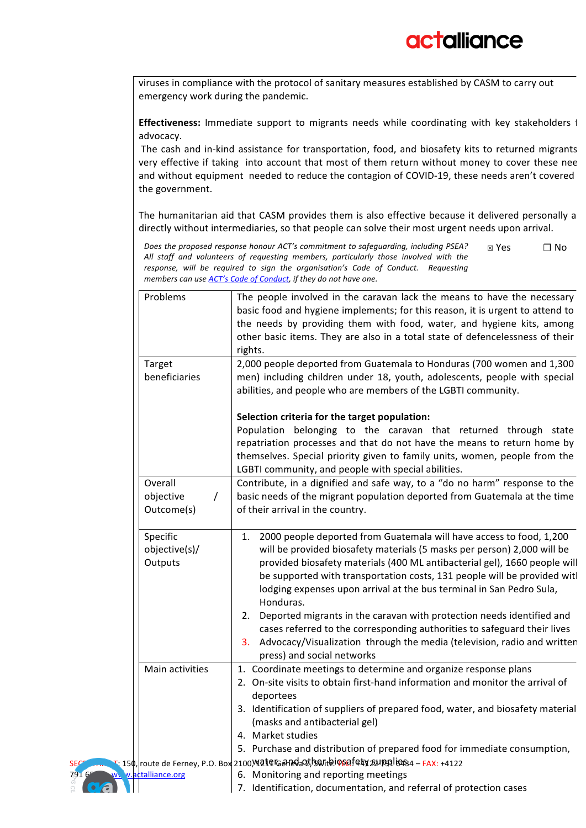viruses in compliance with the protocol of sanitary measures established by CASM to carry out emergency work during the pandemic.

Effectiveness: Immediate support to migrants needs while coordinating with key stakeholders i advocacy. 

The cash and in-kind assistance for transportation, food, and biosafety kits to returned migrants very effective if taking into account that most of them return without money to cover these nee and without equipment needed to reduce the contagion of COVID-19, these needs aren't covered the government.

The humanitarian aid that CASM provides them is also effective because it delivered personally a directly without intermediaries, so that people can solve their most urgent needs upon arrival.

Does the proposed response honour ACT's commitment to safeguarding, including PSEA? All staff and volunteers of requesting members, particularly those involved with the response, will be required to sign the organisation's Code of Conduct. Requesting *members can use ACT's Code of Conduct, if they do not have one.* ☒ Yes **☐** No

| Problems                                       | The people involved in the caravan lack the means to have the necessary<br>basic food and hygiene implements; for this reason, it is urgent to attend to<br>the needs by providing them with food, water, and hygiene kits, among<br>other basic items. They are also in a total state of defencelessness of their<br>rights.                                                                      |
|------------------------------------------------|----------------------------------------------------------------------------------------------------------------------------------------------------------------------------------------------------------------------------------------------------------------------------------------------------------------------------------------------------------------------------------------------------|
| Target<br>beneficiaries                        | 2,000 people deported from Guatemala to Honduras (700 women and 1,300<br>men) including children under 18, youth, adolescents, people with special<br>abilities, and people who are members of the LGBTI community.                                                                                                                                                                                |
|                                                | Selection criteria for the target population:<br>Population belonging to the caravan that returned through state<br>repatriation processes and that do not have the means to return home by<br>themselves. Special priority given to family units, women, people from the<br>LGBTI community, and people with special abilities.                                                                   |
| Overall<br>objective<br>$\prime$<br>Outcome(s) | Contribute, in a dignified and safe way, to a "do no harm" response to the<br>basic needs of the migrant population deported from Guatemala at the time<br>of their arrival in the country.                                                                                                                                                                                                        |
| Specific<br>objective(s)/<br>Outputs           | 2000 people deported from Guatemala will have access to food, 1,200<br>1.<br>will be provided biosafety materials (5 masks per person) 2,000 will be<br>provided biosafety materials (400 ML antibacterial gel), 1660 people will<br>be supported with transportation costs, 131 people will be provided witl<br>lodging expenses upon arrival at the bus terminal in San Pedro Sula,<br>Honduras. |
|                                                | Deported migrants in the caravan with protection needs identified and<br>2.<br>cases referred to the corresponding authorities to safeguard their lives<br>Advocacy/Visualization through the media (television, radio and written<br>3.<br>press) and social networks                                                                                                                             |
| Main activities                                | 1. Coordinate meetings to determine and organize response plans<br>2. On-site visits to obtain first-hand information and monitor the arrival of<br>deportees                                                                                                                                                                                                                                      |
|                                                | 3. Identification of suppliers of prepared food, water, and biosafety material<br>(masks and antibacterial gel)<br>4. Market studies                                                                                                                                                                                                                                                               |
|                                                | 5. Purchase and distribution of prepared food for immediate consumption,                                                                                                                                                                                                                                                                                                                           |
| 791<br>www.uactalliance.org<br>oa              | т. 15ф, route de Ferney, Р.О. Вох 2100)\ <b>41q Gandax!haribiosafety 21pgliss</b> 4 – FAX: +4122<br>6. Monitoring and reporting meetings<br>7. Identification, documentation, and referral of protection cases                                                                                                                                                                                     |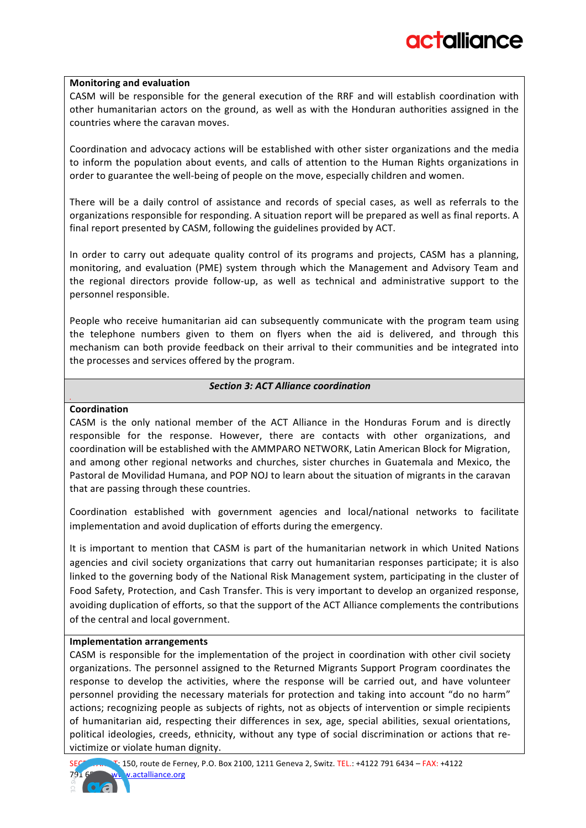### **Monitoring and evaluation**

CASM will be responsible for the general execution of the RRF and will establish coordination with other humanitarian actors on the ground, as well as with the Honduran authorities assigned in the countries where the caravan moves.

Coordination and advocacy actions will be established with other sister organizations and the media to inform the population about events, and calls of attention to the Human Rights organizations in order to guarantee the well-being of people on the move, especially children and women.

There will be a daily control of assistance and records of special cases, as well as referrals to the organizations responsible for responding. A situation report will be prepared as well as final reports. A final report presented by CASM, following the guidelines provided by ACT.

In order to carry out adequate quality control of its programs and projects, CASM has a planning, monitoring, and evaluation (PME) system through which the Management and Advisory Team and the regional directors provide follow-up, as well as technical and administrative support to the personnel responsible.

People who receive humanitarian aid can subsequently communicate with the program team using the telephone numbers given to them on flyers when the aid is delivered, and through this mechanism can both provide feedback on their arrival to their communities and be integrated into the processes and services offered by the program.

#### *Section 3: ACT Alliance coordination*

### **Coordination**

*.*

CASM is the only national member of the ACT Alliance in the Honduras Forum and is directly responsible for the response. However, there are contacts with other organizations, and coordination will be established with the AMMPARO NETWORK, Latin American Block for Migration, and among other regional networks and churches, sister churches in Guatemala and Mexico, the Pastoral de Movilidad Humana, and POP NOJ to learn about the situation of migrants in the caravan that are passing through these countries.

Coordination established with government agencies and local/national networks to facilitate implementation and avoid duplication of efforts during the emergency.

It is important to mention that CASM is part of the humanitarian network in which United Nations agencies and civil society organizations that carry out humanitarian responses participate; it is also linked to the governing body of the National Risk Management system, participating in the cluster of Food Safety, Protection, and Cash Transfer. This is very important to develop an organized response, avoiding duplication of efforts, so that the support of the ACT Alliance complements the contributions of the central and local government.

#### **Implementation arrangements**

CASM is responsible for the implementation of the project in coordination with other civil society organizations. The personnel assigned to the Returned Migrants Support Program coordinates the response to develop the activities, where the response will be carried out, and have volunteer personnel providing the necessary materials for protection and taking into account "do no harm" actions; recognizing people as subjects of rights, not as objects of intervention or simple recipients of humanitarian aid, respecting their differences in sex, age, special abilities, sexual orientations, political ideologies, creeds, ethnicity, without any type of social discrimination or actions that revictimize or violate human dignity.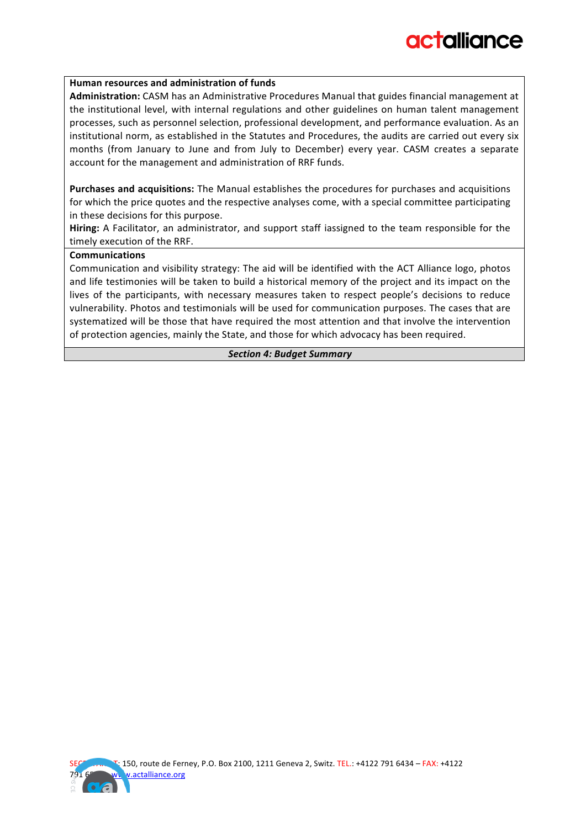#### **Human resources and administration of funds**

Administration: CASM has an Administrative Procedures Manual that guides financial management at the institutional level, with internal regulations and other guidelines on human talent management processes, such as personnel selection, professional development, and performance evaluation. As an institutional norm, as established in the Statutes and Procedures, the audits are carried out every six months (from January to June and from July to December) every year. CASM creates a separate account for the management and administration of RRF funds.

**Purchases and acquisitions:** The Manual establishes the procedures for purchases and acquisitions for which the price quotes and the respective analyses come, with a special committee participating in these decisions for this purpose.

**Hiring:** A Facilitator, an administrator, and support staff iassigned to the team responsible for the timely execution of the RRF.

#### **Communications**

Communication and visibility strategy: The aid will be identified with the ACT Alliance logo, photos and life testimonies will be taken to build a historical memory of the project and its impact on the lives of the participants, with necessary measures taken to respect people's decisions to reduce vulnerability. Photos and testimonials will be used for communication purposes. The cases that are systematized will be those that have required the most attention and that involve the intervention of protection agencies, mainly the State, and those for which advocacy has been required.

#### *Section 4: Budget Summary*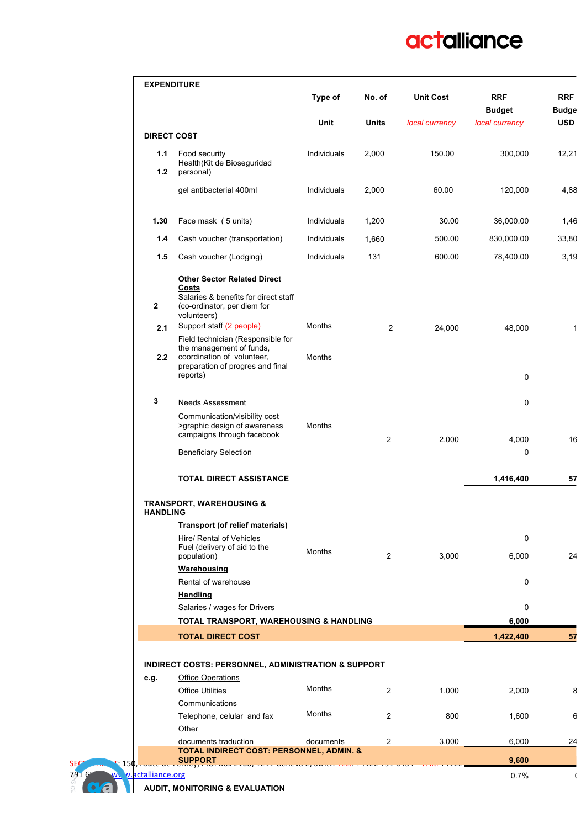# actalliance

|                    |                                                                                                                                 | Type of       | No. of         | <b>Unit Cost</b> | <b>RRF</b><br><b>Budget</b> | <b>RRF</b><br><b>Budge</b> |
|--------------------|---------------------------------------------------------------------------------------------------------------------------------|---------------|----------------|------------------|-----------------------------|----------------------------|
|                    |                                                                                                                                 | Unit          | <b>Units</b>   | local currency   | local currency              | <b>USD</b>                 |
| <b>DIRECT COST</b> |                                                                                                                                 |               |                |                  |                             |                            |
| 1.1<br>1.2         | Food security<br>Health(Kit de Bioseguridad<br>personal)                                                                        | Individuals   | 2,000          | 150.00           | 300,000                     | 12,21                      |
|                    | gel antibacterial 400ml                                                                                                         | Individuals   | 2,000          | 60.00            | 120,000                     | 4,88                       |
| 1.30               | Face mask (5 units)                                                                                                             | Individuals   | 1,200          | 30.00            | 36,000.00                   | 1,46                       |
| 1.4                | Cash voucher (transportation)                                                                                                   | Individuals   | 1,660          | 500.00           | 830,000.00                  | 33,80                      |
| 1.5                | Cash voucher (Lodging)                                                                                                          | Individuals   | 131            | 600.00           | 78,400.00                   | 3,19                       |
| $\mathbf{2}$       | <b>Other Sector Related Direct</b><br>Costs<br>Salaries & benefits for direct staff<br>(co-ordinator, per diem for              |               |                |                  |                             |                            |
| 2.1                | volunteers)<br>Support staff (2 people)                                                                                         | Months        | $\overline{2}$ | 24,000           | 48,000                      |                            |
| 2.2                | Field technician (Responsible for<br>the management of funds,<br>coordination of volunteer,<br>preparation of progres and final | <b>Months</b> |                |                  |                             |                            |
|                    | reports)                                                                                                                        |               |                |                  | 0                           |                            |
| 3                  | <b>Needs Assessment</b>                                                                                                         |               |                |                  | 0                           |                            |
|                    | Communication/visibility cost<br>>graphic design of awareness<br>campaigns through facebook                                     | Months        | 2              | 2,000            | 4,000                       | 16                         |
|                    | <b>Beneficiary Selection</b>                                                                                                    |               |                |                  | 0                           |                            |
|                    | TOTAL DIRECT ASSISTANCE                                                                                                         |               |                |                  | 1,416,400                   | 57                         |
| <b>HANDLING</b>    | <b>TRANSPORT, WAREHOUSING &amp;</b>                                                                                             |               |                |                  |                             |                            |
|                    | <b>Transport (of relief materials)</b>                                                                                          |               |                |                  |                             |                            |
|                    | Hire/ Rental of Vehicles<br>Fuel (delivery of aid to the<br>population)                                                         | Months        | $\overline{2}$ | 3,000            | 0<br>6,000                  | 24                         |
|                    | <b>Warehousing</b>                                                                                                              |               |                |                  |                             |                            |
|                    | Rental of warehouse                                                                                                             |               |                |                  | 0                           |                            |
|                    | <b>Handling</b>                                                                                                                 |               |                |                  |                             |                            |
|                    | Salaries / wages for Drivers                                                                                                    |               |                |                  | 0                           |                            |
|                    | TOTAL TRANSPORT, WAREHOUSING & HANDLING                                                                                         |               |                |                  | 6,000                       | 57                         |
|                    | <b>TOTAL DIRECT COST</b>                                                                                                        |               |                |                  | 1,422,400                   |                            |
|                    |                                                                                                                                 |               |                |                  |                             |                            |
|                    | INDIRECT COSTS: PERSONNEL, ADMINISTRATION & SUPPORT                                                                             |               |                |                  |                             |                            |
| e.g.               | <b>Office Operations</b><br><b>Office Utilities</b>                                                                             | <b>Months</b> | $\overline{2}$ | 1,000            | 2,000                       |                            |
|                    | Communications                                                                                                                  |               |                |                  |                             |                            |
|                    |                                                                                                                                 |               | $\overline{2}$ | 800              | 1,600                       |                            |
|                    |                                                                                                                                 | Months        |                |                  |                             |                            |
|                    | Telephone, celular and fax<br>Other                                                                                             |               |                |                  |                             |                            |
|                    | documents traduction                                                                                                            | documents     | 2              | 3,000            | 6,000                       | 24                         |
| 150,               | <b>TOTAL INDIRECT COST: PERSONNEL, ADMIN. &amp;</b><br><b>SUPPORT</b>                                                           |               |                |                  | 9,600                       |                            |